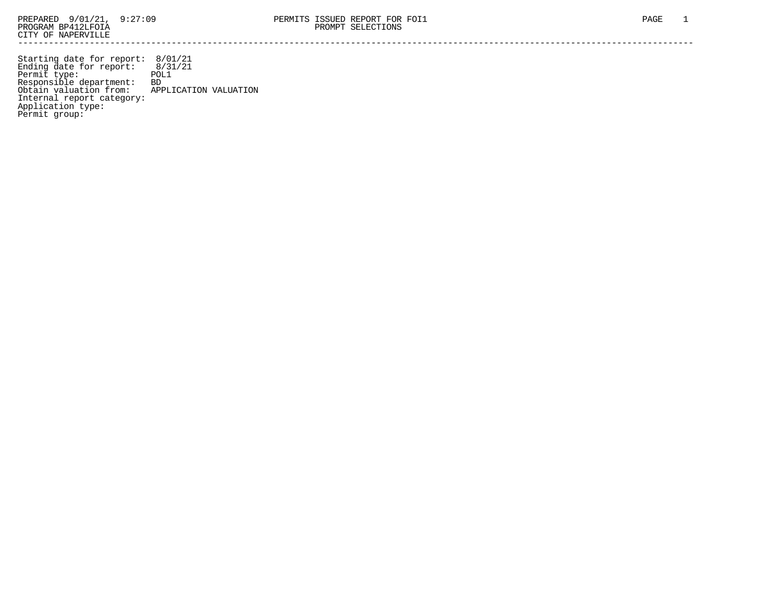Starting date for report: 8/01/21 Ending date for report: 8/31/21 Permit type: POL1 Responsible department: BD Obtain valuation from: APPLICATION VALUATION Internal report category: Application type: Permit group: